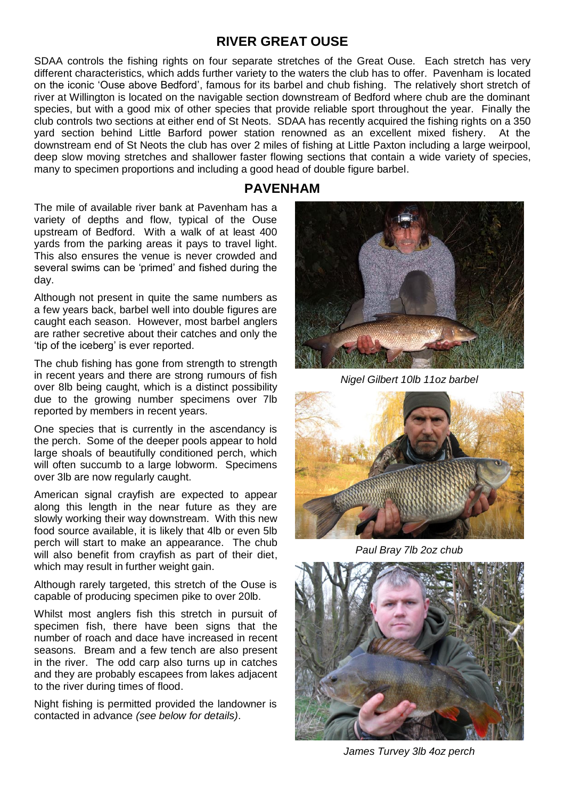## **RIVER GREAT OUSE**

SDAA controls the fishing rights on four separate stretches of the Great Ouse. Each stretch has very different characteristics, which adds further variety to the waters the club has to offer. Pavenham is located on the iconic 'Ouse above Bedford', famous for its barbel and chub fishing. The relatively short stretch of river at Willington is located on the navigable section downstream of Bedford where chub are the dominant species, but with a good mix of other species that provide reliable sport throughout the year. Finally the club controls two sections at either end of St Neots. SDAA has recently acquired the fishing rights on a 350 yard section behind Little Barford power station renowned as an excellent mixed fishery. At the downstream end of St Neots the club has over 2 miles of fishing at Little Paxton including a large weirpool, deep slow moving stretches and shallower faster flowing sections that contain a wide variety of species, many to specimen proportions and including a good head of double figure barbel.

### **PAVENHAM**

The mile of available river bank at Pavenham has a variety of depths and flow, typical of the Ouse upstream of Bedford. With a walk of at least 400 yards from the parking areas it pays to travel light. This also ensures the venue is never crowded and several swims can be 'primed' and fished during the day.

Although not present in quite the same numbers as a few years back, barbel well into double figures are caught each season. However, most barbel anglers are rather secretive about their catches and only the 'tip of the iceberg' is ever reported.

The chub fishing has gone from strength to strength in recent years and there are strong rumours of fish over 8lb being caught, which is a distinct possibility due to the growing number specimens over 7lb reported by members in recent years.

One species that is currently in the ascendancy is the perch. Some of the deeper pools appear to hold large shoals of beautifully conditioned perch, which will often succumb to a large lobworm. Specimens over 3lb are now regularly caught.

American signal crayfish are expected to appear along this length in the near future as they are slowly working their way downstream. With this new food source available, it is likely that 4lb or even 5lb perch will start to make an appearance. The chub will also benefit from crayfish as part of their diet, which may result in further weight gain.

Although rarely targeted, this stretch of the Ouse is capable of producing specimen pike to over 20lb.

Whilst most anglers fish this stretch in pursuit of specimen fish, there have been signs that the number of roach and dace have increased in recent seasons. Bream and a few tench are also present in the river. The odd carp also turns up in catches and they are probably escapees from lakes adjacent to the river during times of flood.

Night fishing is permitted provided the landowner is contacted in advance *(see below for details)*.



*Nigel Gilbert 10lb 11oz barbel*



*Paul Bray 7lb 2oz chub*



*James Turvey 3lb 4oz perch*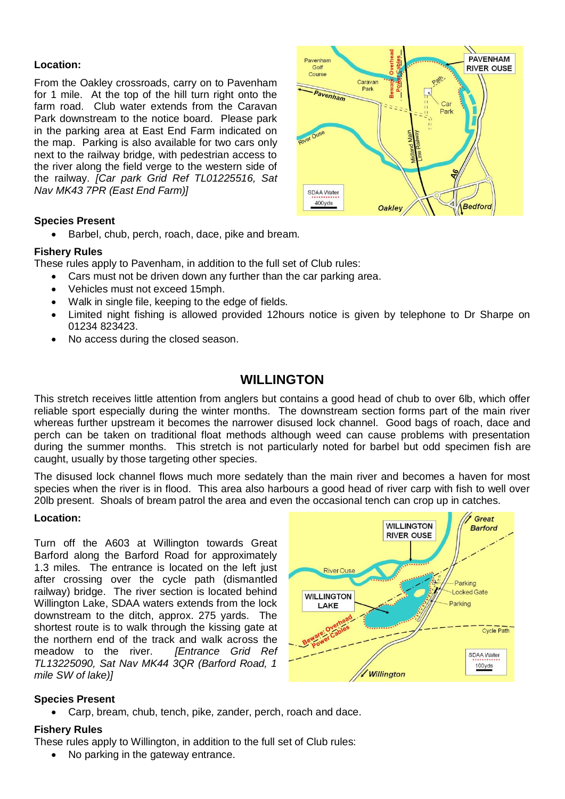### **Location:**

From the Oakley crossroads, carry on to Pavenham for 1 mile. At the top of the hill turn right onto the farm road. Club water extends from the Caravan Park downstream to the notice board. Please park in the parking area at East End Farm indicated on the map. Parking is also available for two cars only next to the railway bridge, with pedestrian access to the river along the field verge to the western side of the railway. *[Car park Grid Ref TL01225516, Sat Nav MK43 7PR (East End Farm)]*

### **Species Present**

Barbel, chub, perch, roach, dace, pike and bream.

### **Fishery Rules**

These rules apply to Pavenham, in addition to the full set of Club rules:

- Cars must not be driven down any further than the car parking area.
- Vehicles must not exceed 15mph.
- Walk in single file, keeping to the edge of fields.
- Limited night fishing is allowed provided 12hours notice is given by telephone to Dr Sharpe on 01234 823423.
- No access during the closed season.

# **WILLINGTON**

This stretch receives little attention from anglers but contains a good head of chub to over 6lb, which offer reliable sport especially during the winter months. The downstream section forms part of the main river whereas further upstream it becomes the narrower disused lock channel. Good bags of roach, dace and perch can be taken on traditional float methods although weed can cause problems with presentation during the summer months. This stretch is not particularly noted for barbel but odd specimen fish are caught, usually by those targeting other species.

The disused lock channel flows much more sedately than the main river and becomes a haven for most species when the river is in flood. This area also harbours a good head of river carp with fish to well over 20lb present. Shoals of bream patrol the area and even the occasional tench can crop up in catches.

### **Location:**

Turn off the A603 at Willington towards Great Barford along the Barford Road for approximately 1.3 miles. The entrance is located on the left just after crossing over the cycle path (dismantled railway) bridge. The river section is located behind Willington Lake, SDAA waters extends from the lock downstream to the ditch, approx. 275 yards. The shortest route is to walk through the kissing gate at the northern end of the track and walk across the meadow to the river. *[Entrance Grid Ref TL13225090, Sat Nav MK44 3QR (Barford Road, 1 mile SW of lake)]*



### **Species Present**

Carp, bream, chub, tench, pike, zander, perch, roach and dace.

### **Fishery Rules**

These rules apply to Willington, in addition to the full set of Club rules:

No parking in the gateway entrance.

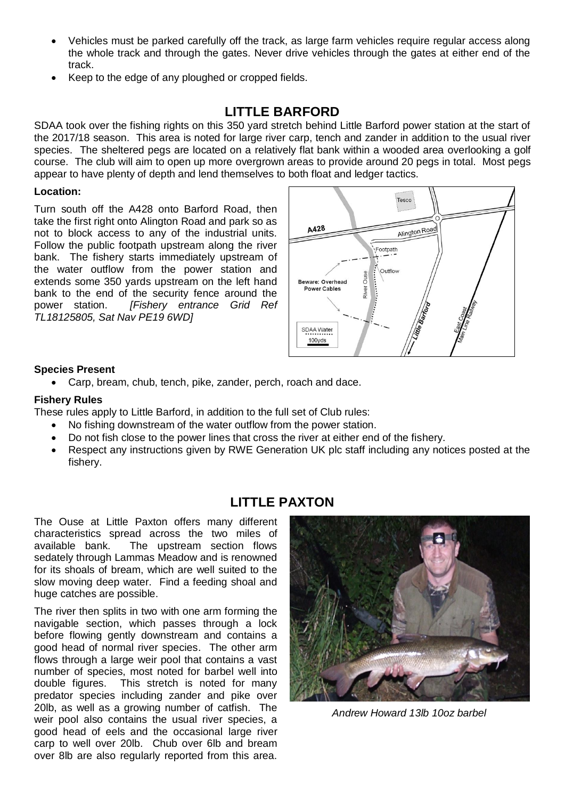- Vehicles must be parked carefully off the track, as large farm vehicles require regular access along the whole track and through the gates. Never drive vehicles through the gates at either end of the track.
- Keep to the edge of any ploughed or cropped fields.

# **LITTLE BARFORD**

SDAA took over the fishing rights on this 350 yard stretch behind Little Barford power station at the start of the 2017/18 season. This area is noted for large river carp, tench and zander in addition to the usual river species. The sheltered pegs are located on a relatively flat bank within a wooded area overlooking a golf course. The club will aim to open up more overgrown areas to provide around 20 pegs in total. Most pegs appear to have plenty of depth and lend themselves to both float and ledger tactics.

### **Location:**

Turn south off the A428 onto Barford Road, then take the first right onto Alington Road and park so as not to block access to any of the industrial units. Follow the public footpath upstream along the river bank. The fishery starts immediately upstream of the water outflow from the power station and extends some 350 yards upstream on the left hand bank to the end of the security fence around the power station. *[Fishery entrance Grid Ref TL18125805, Sat Nav PE19 6WD]*



### **Species Present**

Carp, bream, chub, tench, pike, zander, perch, roach and dace.

### **Fishery Rules**

These rules apply to Little Barford, in addition to the full set of Club rules:

- No fishing downstream of the water outflow from the power station.
- Do not fish close to the power lines that cross the river at either end of the fishery.
- Respect any instructions given by RWE Generation UK plc staff including any notices posted at the fishery.

# **LITTLE PAXTON**

The Ouse at Little Paxton offers many different characteristics spread across the two miles of available bank. The upstream section flows sedately through Lammas Meadow and is renowned for its shoals of bream, which are well suited to the slow moving deep water. Find a feeding shoal and huge catches are possible.

The river then splits in two with one arm forming the navigable section, which passes through a lock before flowing gently downstream and contains a good head of normal river species. The other arm flows through a large weir pool that contains a vast number of species, most noted for barbel well into double figures. This stretch is noted for many predator species including zander and pike over 20lb, as well as a growing number of catfish. The weir pool also contains the usual river species, a good head of eels and the occasional large river carp to well over 20lb. Chub over 6lb and bream over 8lb are also regularly reported from this area.



*Andrew Howard 13lb 10oz barbel*